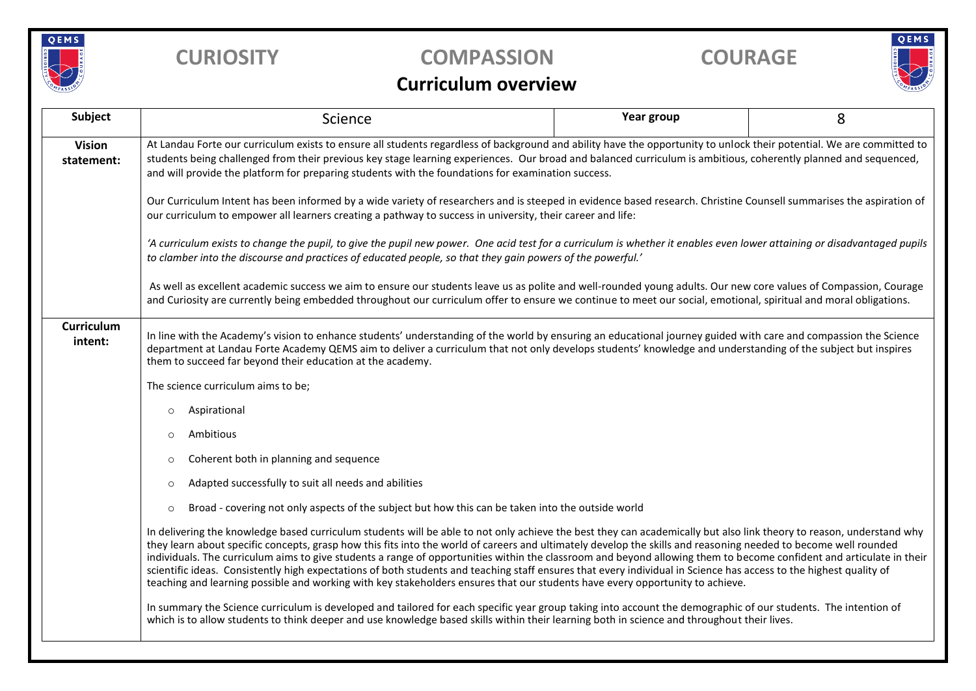

## **CURIOSITY COMPASSION COURAGE**

# QEMS

### **Curriculum overview**

| Subject                      | Science                                                                                                                                                                                                                                                                                                                                                                                                                                                                                                                                                                                                                                                                                                                                                                                                                | Year group | 8 |  |  |  |
|------------------------------|------------------------------------------------------------------------------------------------------------------------------------------------------------------------------------------------------------------------------------------------------------------------------------------------------------------------------------------------------------------------------------------------------------------------------------------------------------------------------------------------------------------------------------------------------------------------------------------------------------------------------------------------------------------------------------------------------------------------------------------------------------------------------------------------------------------------|------------|---|--|--|--|
| <b>Vision</b><br>statement:  | At Landau Forte our curriculum exists to ensure all students regardless of background and ability have the opportunity to unlock their potential. We are committed to<br>students being challenged from their previous key stage learning experiences. Our broad and balanced curriculum is ambitious, coherently planned and sequenced,<br>and will provide the platform for preparing students with the foundations for examination success.                                                                                                                                                                                                                                                                                                                                                                         |            |   |  |  |  |
|                              | Our Curriculum Intent has been informed by a wide variety of researchers and is steeped in evidence based research. Christine Counsell summarises the aspiration of<br>our curriculum to empower all learners creating a pathway to success in university, their career and life:                                                                                                                                                                                                                                                                                                                                                                                                                                                                                                                                      |            |   |  |  |  |
|                              | 'A curriculum exists to change the pupil, to give the pupil new power. One acid test for a curriculum is whether it enables even lower attaining or disadvantaged pupils<br>to clamber into the discourse and practices of educated people, so that they gain powers of the powerful.'                                                                                                                                                                                                                                                                                                                                                                                                                                                                                                                                 |            |   |  |  |  |
|                              | As well as excellent academic success we aim to ensure our students leave us as polite and well-rounded young adults. Our new core values of Compassion, Courage<br>and Curiosity are currently being embedded throughout our curriculum offer to ensure we continue to meet our social, emotional, spiritual and moral obligations.                                                                                                                                                                                                                                                                                                                                                                                                                                                                                   |            |   |  |  |  |
| <b>Curriculum</b><br>intent: | In line with the Academy's vision to enhance students' understanding of the world by ensuring an educational journey guided with care and compassion the Science<br>department at Landau Forte Academy QEMS aim to deliver a curriculum that not only develops students' knowledge and understanding of the subject but inspires<br>them to succeed far beyond their education at the academy.                                                                                                                                                                                                                                                                                                                                                                                                                         |            |   |  |  |  |
|                              | The science curriculum aims to be;                                                                                                                                                                                                                                                                                                                                                                                                                                                                                                                                                                                                                                                                                                                                                                                     |            |   |  |  |  |
|                              | Aspirational<br>$\circ$                                                                                                                                                                                                                                                                                                                                                                                                                                                                                                                                                                                                                                                                                                                                                                                                |            |   |  |  |  |
|                              | Ambitious<br>$\circ$                                                                                                                                                                                                                                                                                                                                                                                                                                                                                                                                                                                                                                                                                                                                                                                                   |            |   |  |  |  |
|                              | Coherent both in planning and sequence<br>$\circ$                                                                                                                                                                                                                                                                                                                                                                                                                                                                                                                                                                                                                                                                                                                                                                      |            |   |  |  |  |
|                              | Adapted successfully to suit all needs and abilities<br>$\circ$                                                                                                                                                                                                                                                                                                                                                                                                                                                                                                                                                                                                                                                                                                                                                        |            |   |  |  |  |
|                              | Broad - covering not only aspects of the subject but how this can be taken into the outside world<br>$\circ$                                                                                                                                                                                                                                                                                                                                                                                                                                                                                                                                                                                                                                                                                                           |            |   |  |  |  |
|                              | In delivering the knowledge based curriculum students will be able to not only achieve the best they can academically but also link theory to reason, understand why<br>they learn about specific concepts, grasp how this fits into the world of careers and ultimately develop the skills and reasoning needed to become well rounded<br>individuals. The curriculum aims to give students a range of opportunities within the classroom and beyond allowing them to become confident and articulate in their<br>scientific ideas. Consistently high expectations of both students and teaching staff ensures that every individual in Science has access to the highest quality of<br>teaching and learning possible and working with key stakeholders ensures that our students have every opportunity to achieve. |            |   |  |  |  |
|                              | In summary the Science curriculum is developed and tailored for each specific year group taking into account the demographic of our students. The intention of<br>which is to allow students to think deeper and use knowledge based skills within their learning both in science and throughout their lives.                                                                                                                                                                                                                                                                                                                                                                                                                                                                                                          |            |   |  |  |  |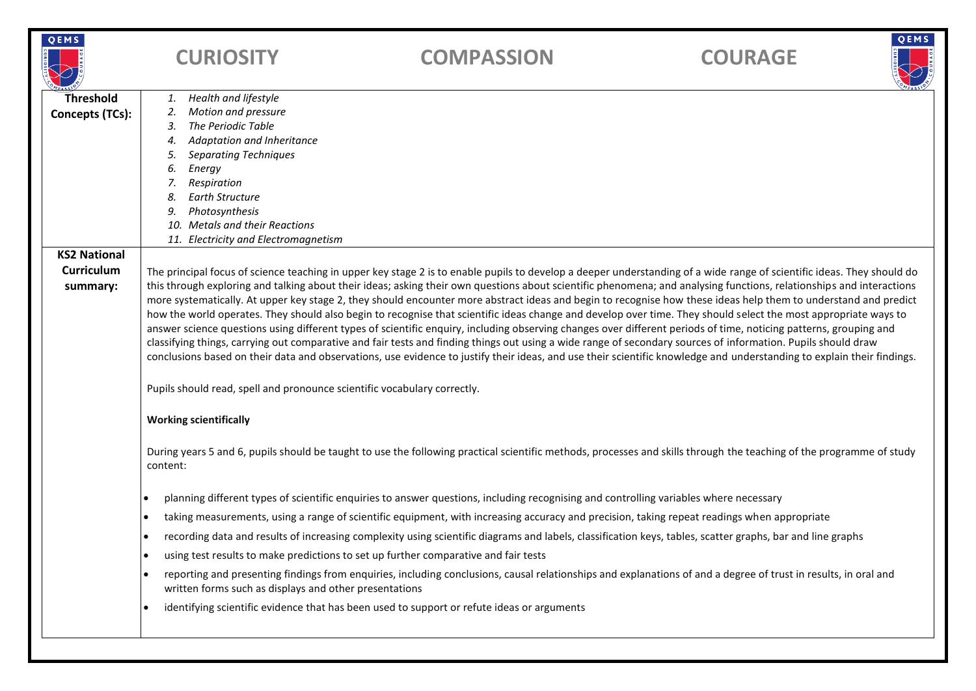| QEMS                                                 | <b>CURIOSITY</b>                                                                                                                                                                                                                                                                                                                                                                                                                                                                                                                                                                                                                                                                                                                                                                                                                                                                                                                                                                                                                                                                                                                                                                                     | <b>COMPASSION</b>                                                                                                                                                    | <b>COURAGE</b> | QEMS |  |  |
|------------------------------------------------------|------------------------------------------------------------------------------------------------------------------------------------------------------------------------------------------------------------------------------------------------------------------------------------------------------------------------------------------------------------------------------------------------------------------------------------------------------------------------------------------------------------------------------------------------------------------------------------------------------------------------------------------------------------------------------------------------------------------------------------------------------------------------------------------------------------------------------------------------------------------------------------------------------------------------------------------------------------------------------------------------------------------------------------------------------------------------------------------------------------------------------------------------------------------------------------------------------|----------------------------------------------------------------------------------------------------------------------------------------------------------------------|----------------|------|--|--|
| <b>Threshold</b><br><b>Concepts (TCs):</b>           | Health and lifestyle<br>1.<br>Motion and pressure<br>2.<br>The Periodic Table<br>3.<br>Adaptation and Inheritance<br>4.<br><b>Separating Techniques</b><br>5.<br>Energy<br>6.<br>Respiration<br>7.<br><b>Earth Structure</b><br>8.<br>Photosynthesis<br>9.<br>10. Metals and their Reactions                                                                                                                                                                                                                                                                                                                                                                                                                                                                                                                                                                                                                                                                                                                                                                                                                                                                                                         |                                                                                                                                                                      |                |      |  |  |
|                                                      | 11. Electricity and Electromagnetism                                                                                                                                                                                                                                                                                                                                                                                                                                                                                                                                                                                                                                                                                                                                                                                                                                                                                                                                                                                                                                                                                                                                                                 |                                                                                                                                                                      |                |      |  |  |
| <b>KS2 National</b><br><b>Curriculum</b><br>summary: | The principal focus of science teaching in upper key stage 2 is to enable pupils to develop a deeper understanding of a wide range of scientific ideas. They should do<br>this through exploring and talking about their ideas; asking their own questions about scientific phenomena; and analysing functions, relationships and interactions<br>more systematically. At upper key stage 2, they should encounter more abstract ideas and begin to recognise how these ideas help them to understand and predict<br>how the world operates. They should also begin to recognise that scientific ideas change and develop over time. They should select the most appropriate ways to<br>answer science questions using different types of scientific enquiry, including observing changes over different periods of time, noticing patterns, grouping and<br>classifying things, carrying out comparative and fair tests and finding things out using a wide range of secondary sources of information. Pupils should draw<br>conclusions based on their data and observations, use evidence to justify their ideas, and use their scientific knowledge and understanding to explain their findings. |                                                                                                                                                                      |                |      |  |  |
|                                                      | Pupils should read, spell and pronounce scientific vocabulary correctly.<br><b>Working scientifically</b>                                                                                                                                                                                                                                                                                                                                                                                                                                                                                                                                                                                                                                                                                                                                                                                                                                                                                                                                                                                                                                                                                            |                                                                                                                                                                      |                |      |  |  |
|                                                      |                                                                                                                                                                                                                                                                                                                                                                                                                                                                                                                                                                                                                                                                                                                                                                                                                                                                                                                                                                                                                                                                                                                                                                                                      |                                                                                                                                                                      |                |      |  |  |
|                                                      | content:                                                                                                                                                                                                                                                                                                                                                                                                                                                                                                                                                                                                                                                                                                                                                                                                                                                                                                                                                                                                                                                                                                                                                                                             | During years 5 and 6, pupils should be taught to use the following practical scientific methods, processes and skills through the teaching of the programme of study |                |      |  |  |
|                                                      |                                                                                                                                                                                                                                                                                                                                                                                                                                                                                                                                                                                                                                                                                                                                                                                                                                                                                                                                                                                                                                                                                                                                                                                                      | planning different types of scientific enquiries to answer questions, including recognising and controlling variables where necessary                                |                |      |  |  |
|                                                      |                                                                                                                                                                                                                                                                                                                                                                                                                                                                                                                                                                                                                                                                                                                                                                                                                                                                                                                                                                                                                                                                                                                                                                                                      | taking measurements, using a range of scientific equipment, with increasing accuracy and precision, taking repeat readings when appropriate                          |                |      |  |  |
|                                                      | $\bullet$                                                                                                                                                                                                                                                                                                                                                                                                                                                                                                                                                                                                                                                                                                                                                                                                                                                                                                                                                                                                                                                                                                                                                                                            | recording data and results of increasing complexity using scientific diagrams and labels, classification keys, tables, scatter graphs, bar and line graphs           |                |      |  |  |
|                                                      |                                                                                                                                                                                                                                                                                                                                                                                                                                                                                                                                                                                                                                                                                                                                                                                                                                                                                                                                                                                                                                                                                                                                                                                                      | using test results to make predictions to set up further comparative and fair tests                                                                                  |                |      |  |  |
|                                                      | written forms such as displays and other presentations                                                                                                                                                                                                                                                                                                                                                                                                                                                                                                                                                                                                                                                                                                                                                                                                                                                                                                                                                                                                                                                                                                                                               | reporting and presenting findings from enquiries, including conclusions, causal relationships and explanations of and a degree of trust in results, in oral and      |                |      |  |  |
|                                                      | ٠                                                                                                                                                                                                                                                                                                                                                                                                                                                                                                                                                                                                                                                                                                                                                                                                                                                                                                                                                                                                                                                                                                                                                                                                    | identifying scientific evidence that has been used to support or refute ideas or arguments                                                                           |                |      |  |  |
|                                                      |                                                                                                                                                                                                                                                                                                                                                                                                                                                                                                                                                                                                                                                                                                                                                                                                                                                                                                                                                                                                                                                                                                                                                                                                      |                                                                                                                                                                      |                |      |  |  |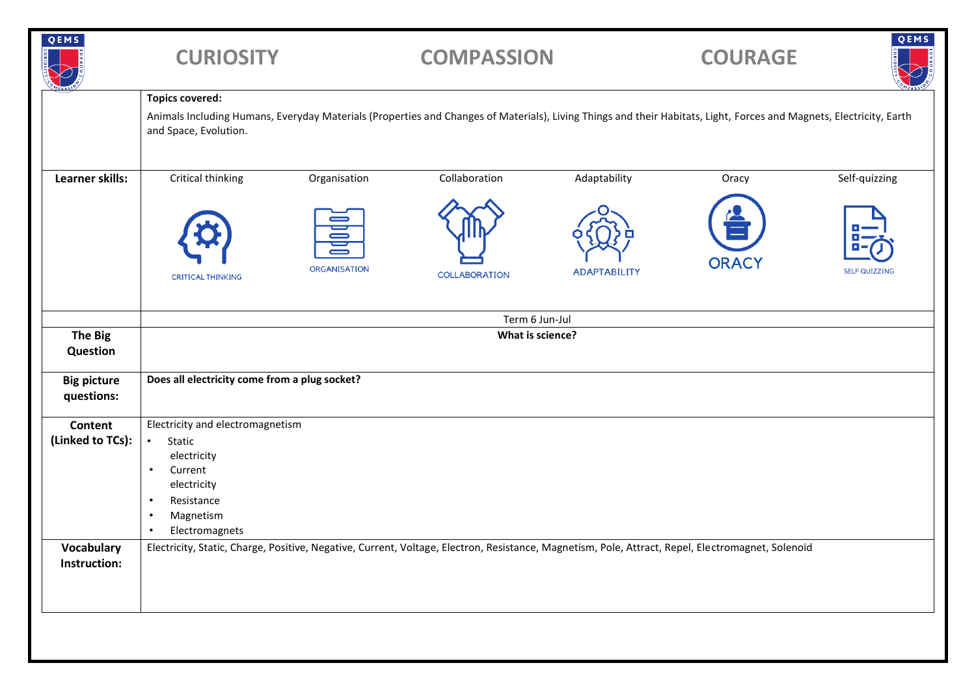| QEMS                             | <b>CURIOSITY</b>                                                                                                                                                                                                       |                                 | <b>COMPASSION</b>    |                     | <b>COURAGE</b> | QEMS                 |
|----------------------------------|------------------------------------------------------------------------------------------------------------------------------------------------------------------------------------------------------------------------|---------------------------------|----------------------|---------------------|----------------|----------------------|
|                                  | <b>Topics covered:</b><br>Animals Including Humans, Everyday Materials (Properties and Changes of Materials), Living Things and their Habitats, Light, Forces and Magnets, Electricity, Earth<br>and Space, Evolution. |                                 |                      |                     |                |                      |
| Learner skills:                  | Critical thinking                                                                                                                                                                                                      | Organisation                    | Collaboration        | Adaptability        | Oracy          | Self-quizzing        |
|                                  | <b>CRITICAL THINKING</b>                                                                                                                                                                                               | $\oplus$<br><b>ORGANISATION</b> | <b>COLLABORATION</b> | <b>ADAPTABILITY</b> | <b>ORACY</b>   | <b>SELF QUIZZING</b> |
|                                  | Term 6 Jun-Jul                                                                                                                                                                                                         |                                 |                      |                     |                |                      |
| <b>The Big</b><br>Question       | What is science?                                                                                                                                                                                                       |                                 |                      |                     |                |                      |
| <b>Big picture</b><br>questions: | Does all electricity come from a plug socket?                                                                                                                                                                          |                                 |                      |                     |                |                      |
| Content<br>(Linked to TCs):      | Electricity and electromagnetism<br>Static<br>$\bullet$<br>electricity<br>Current<br>$\bullet$<br>electricity<br>Resistance<br>$\bullet$<br>Magnetism<br>$\bullet$<br>Electromagnets<br>$\bullet$                      |                                 |                      |                     |                |                      |
| Vocabulary<br>Instruction:       | Electricity, Static, Charge, Positive, Negative, Current, Voltage, Electron, Resistance, Magnetism, Pole, Attract, Repel, Electromagnet, Solenoid                                                                      |                                 |                      |                     |                |                      |